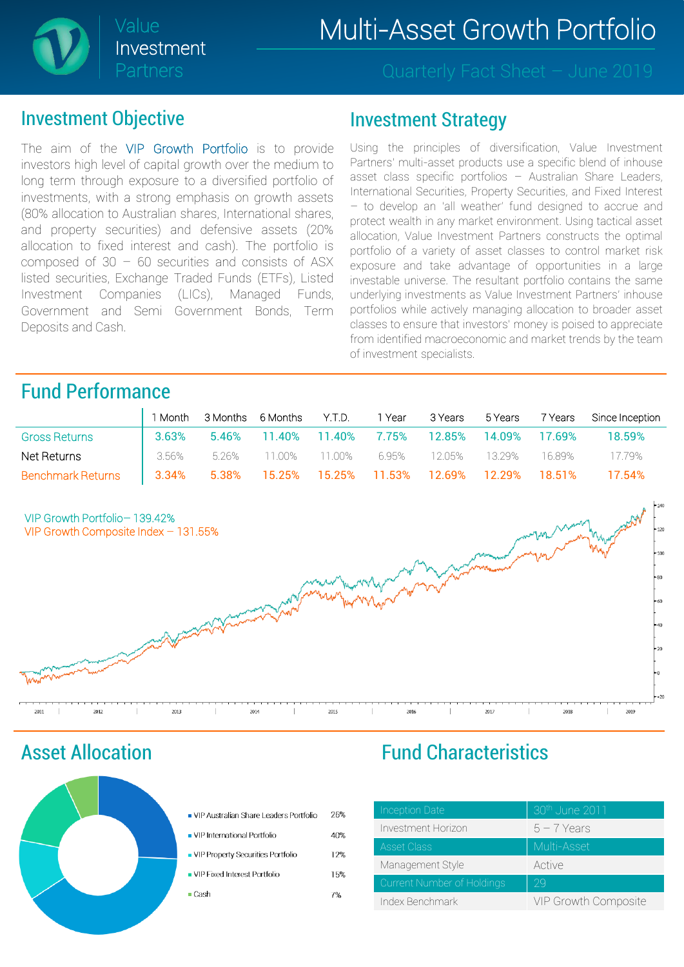## Value **Multi-Asset Growth Portfolio**



#### Investment Objective

The aim of the VIP Growth Portfolio is to provide investors high level of capital growth over the medium to long term through exposure to a diversified portfolio of investments, with a strong emphasis on growth assets (80% allocation to Australian shares, International shares, and property securities) and defensive assets (20% allocation to fixed interest and cash). The portfolio is composed of  $30 - 60$  securities and consists of ASX listed securities, Exchange Traded Funds (ETFs), Listed Investment Companies (LICs), Managed Funds, Government and Semi Government Bonds, Term Deposits and Cash.

#### Investment Strategy

Using the principles of diversification, Value Investment Partners' multi-asset products use a specific blend of inhouse asset class specific portfolios – Australian Share Leaders, International Securities, Property Securities, and Fixed Interest – to develop an 'all weather' fund designed to accrue and protect wealth in any market environment. Using tactical asset allocation, Value Investment Partners constructs the optimal portfolio of a variety of asset classes to control market risk exposure and take advantage of opportunities in a large investable universe. The resultant portfolio contains the same underlying investments as Value Investment Partners' inhouse portfolios while actively managing allocation to broader asset classes to ensure that investors' money is poised to appreciate from identified macroeconomic and market trends by the team of investment specialists.

#### Fund Performance

|                          | 1 Month   | 3 Months 6 Months |                                                | Y.T.D.   | 1 Year | $-3$ Years $\ldots$  | 5 Years        |        | 7 Years Since Inception |
|--------------------------|-----------|-------------------|------------------------------------------------|----------|--------|----------------------|----------------|--------|-------------------------|
| <b>Gross Returns</b>     | $3.63\%$  |                   | 5.46% 11.40% 11.40% 7.75% 12.85% 14.09% 17.69% |          |        |                      |                |        | 18.59%                  |
| Net Returns              | 3.56%     |                   | 5.26% 11.00%                                   | - 11.00% | 6.95%  | 12.05%               | 13.29%         | 16.89% | 17 79%                  |
| <b>Benchmark Returns</b> | $.3.34\%$ | $5.38\%$          | 15.25%                                         |          |        | 15.25% 11.53% 12.69% | 12.29%  18.51% |        | 17.54%                  |



40%

 $12%$ 

15%

 $70<sub>6</sub>$ 

#### Asset Allocation



| ■ VIP Australian Share Leaders Portfolio | 26% |
|------------------------------------------|-----|
|------------------------------------------|-----|

- VIP International Portfolio
- VIP Property Securities Portfolio
- VIP Fixed Interest Portfolio
- $Cash$

### Fund Characteristics

| Inception Date             | 30th June 2011       |
|----------------------------|----------------------|
| Investment Horizon         | $5 - 7$ Years        |
| <b>Asset Class</b>         | Multi-Asset          |
| Management Style           | Active               |
| Current Number of Holdings | 29                   |
| Index Benchmark            | VIP Growth Composite |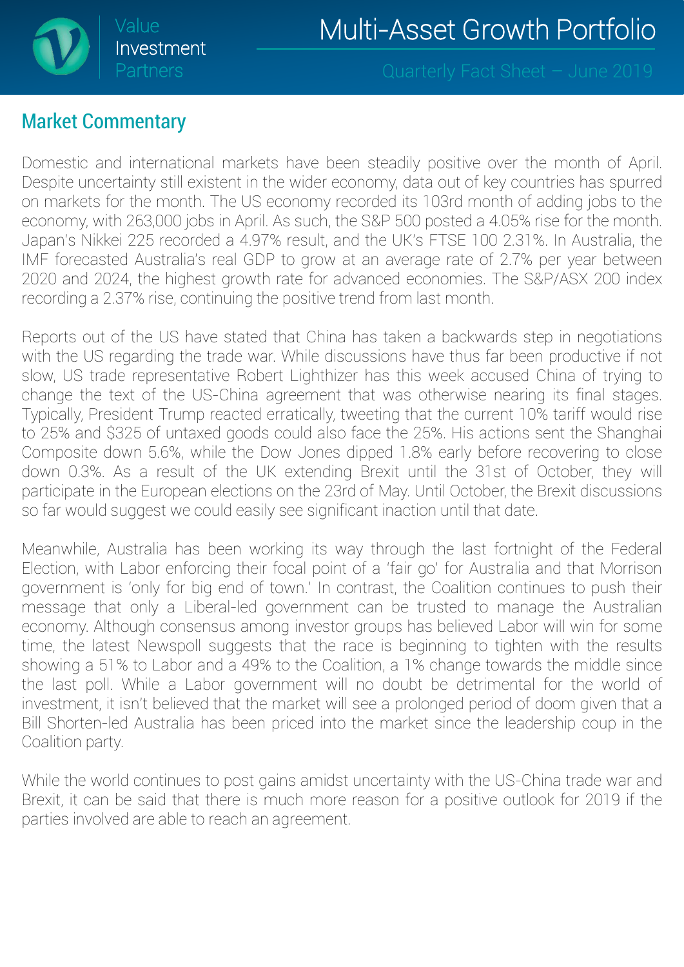

### Market Commentary

Domestic and international markets have been steadily positive over the month of April. Despite uncertainty still existent in the wider economy, data out of key countries has spurred on markets for the month. The US economy recorded its 103rd month of adding jobs to the economy, with 263,000 jobs in April. As such, the S&P 500 posted a 4.05% rise for the month. Japan's Nikkei 225 recorded a 4.97% result, and the UK's FTSE 100 2.31%. In Australia, the IMF forecasted Australia's real GDP to grow at an average rate of 2.7% per year between 2020 and 2024, the highest growth rate for advanced economies. The S&P/ASX 200 index recording a 2.37% rise, continuing the positive trend from last month.

Reports out of the US have stated that China has taken a backwards step in negotiations with the US regarding the trade war. While discussions have thus far been productive if not slow, US trade representative Robert Lighthizer has this week accused China of trying to change the text of the US-China agreement that was otherwise nearing its final stages. Typically, President Trump reacted erratically, tweeting that the current 10% tariff would rise to 25% and \$325 of untaxed goods could also face the 25%. His actions sent the Shanghai Composite down 5.6%, while the Dow Jones dipped 1.8% early before recovering to close down 0.3%. As a result of the UK extending Brexit until the 31st of October, they will participate in the European elections on the 23rd of May. Until October, the Brexit discussions so far would suggest we could easily see significant inaction until that date.

Meanwhile, Australia has been working its way through the last fortnight of the Federal Election, with Labor enforcing their focal point of a 'fair go' for Australia and that Morrison government is 'only for big end of town.' In contrast, the Coalition continues to push their message that only a Liberal-led government can be trusted to manage the Australian economy. Although consensus among investor groups has believed Labor will win for some time, the latest Newspoll suggests that the race is beginning to tighten with the results showing a 51% to Labor and a 49% to the Coalition, a 1% change towards the middle since the last poll. While a Labor government will no doubt be detrimental for the world of investment, it isn't believed that the market will see a prolonged period of doom given that a Bill Shorten-led Australia has been priced into the market since the leadership coup in the Coalition party.

While the world continues to post gains amidst uncertainty with the US-China trade war and Brexit, it can be said that there is much more reason for a positive outlook for 2019 if the parties involved are able to reach an agreement.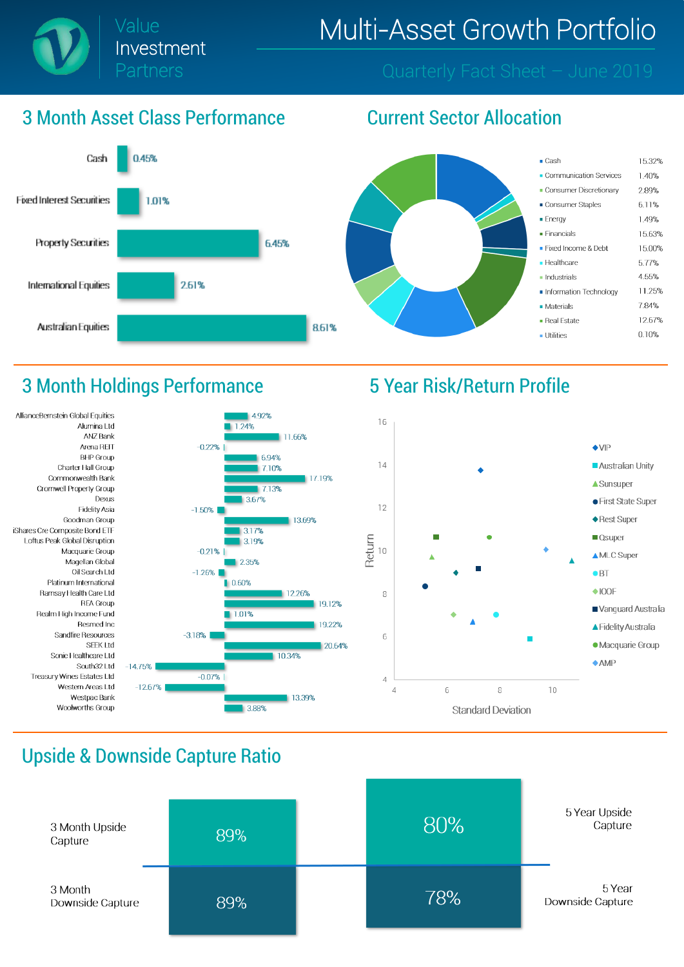### 3 Month Asset Class Performance Current Sector Allocation

Partners

Investment





### 3 Month Holdings Performance **5 Year Risk/Return Profile**



#### Upside & Downside Capture Ratio

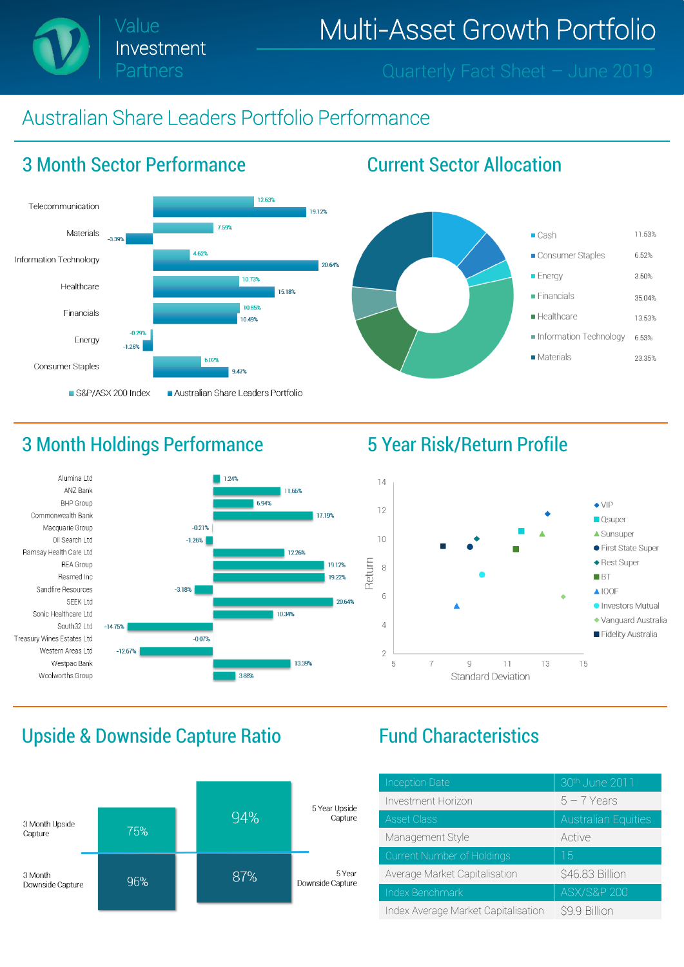Value Investment Partners

## Multi-Asset Growth Portfolio

### Australian Share Leaders Portfolio Performance

#### 12.63% Telecommunication 1912% 7.59% Materials  $\blacksquare$  Cash 11.53%  $-2.209$ 4.62% Consumer Staples 6.52% Information Technology 20.64%  $E$  Energy 3.50% 10.73% Healthcare 15.18% Financials 35.04% 10.85% Financials Healthcare 13.53% 10.49%  $-0.29%$ Information Technology 6.53% Energy  $-1.26%$ Materials 23.35% 6.02% **Consumer Staples** 9.47% S&P/ASX 200 Index Australian Share Leaders Portfolio

3 Month Sector Performance Current Sector Allocation

#### 3 Month Holdings Performance **5 Year Risk/Return Profile**



### Upside & Downside Capture Ratio Fund Characteristics



| <b>Inception Date</b>               | 30th June 2011             |  |  |
|-------------------------------------|----------------------------|--|--|
| Investment Horizon                  | $5 - 7$ Years              |  |  |
| <b>Asset Class</b>                  | <b>Australian Equities</b> |  |  |
| Management Style                    | <b>Active</b>              |  |  |
| Current Number of Holdings          | 15                         |  |  |
| Average Market Capitalisation       | \$46.83 Billion            |  |  |
| Index Benchmark                     | <b>ASX/S&amp;P 200</b>     |  |  |
| Index Average Market Capitalisation | \$9.9 Billion              |  |  |

 $\blacklozenge$  VIP

 $B$ T

15

 $\triangle$  IOOF

**Q**super

▲ Sunsuper

◆ Rest Super

● First State Super

**Investors Mutual** 

Fidelity Australia

◆ Vanguard Australia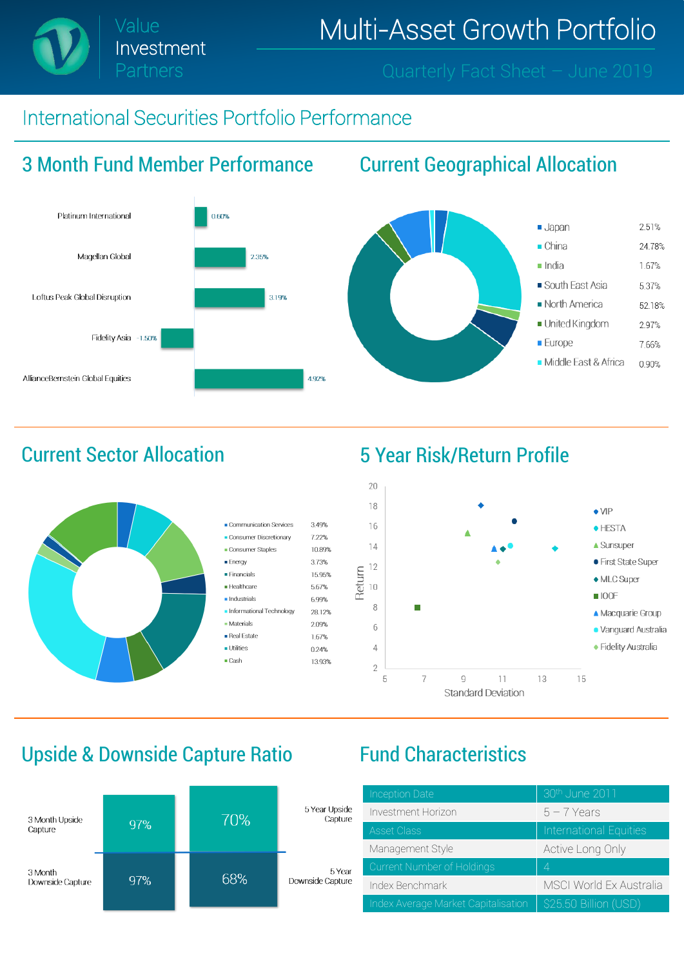Value Multi-Asset Growth Portfolio

### International Securities Portfolio Performance

## 3 Month Fund Member Performance Current Geographical Allocation

Investment

Partners





13.93%

### Current Sector Allocation 5 Year Risk/Return Profile





### Upside & Downside Capture Ratio Fund Characteristics



| <b>Inception Date</b>               | 30th June 2011                |  |  |
|-------------------------------------|-------------------------------|--|--|
| Investment Horizon                  | $5 - 7$ Years                 |  |  |
| <b>Asset Class</b>                  | <b>International Equities</b> |  |  |
| Management Style                    | Active Long Only              |  |  |
| Current Number of Holdings          | 4                             |  |  |
| Index Benchmark                     | MSCI World Ex Australia       |  |  |
| Index Average Market Capitalisation | \$25.50 Billion (USD)         |  |  |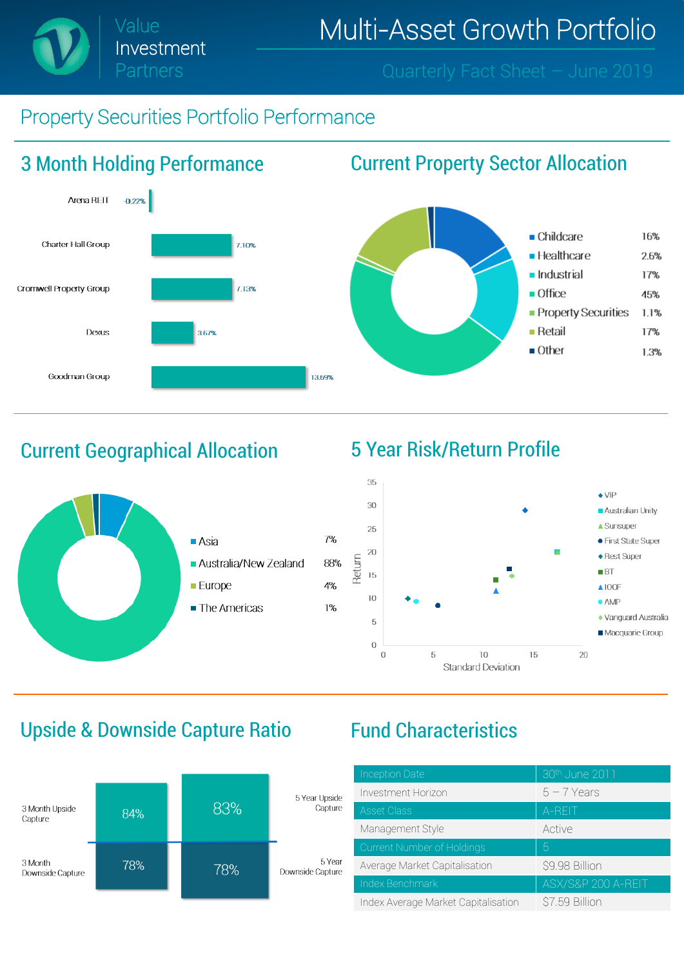Investment Partners

## Value **Multi-Asset Growth Portfolio**

### Property Securities Portfolio Performance



### Current Geographical Allocation 5 Year Risk/Return Profile





### Upside & Downside Capture Ratio Fund Characteristics



| Inception Date                      | 30th June 2011     |
|-------------------------------------|--------------------|
| Investment Horizon                  | $5 - 7$ Years      |
| <b>Asset Class</b>                  | A-REIT             |
| Management Style                    | Active             |
| Current Number of Holdings          | 5                  |
| Average Market Capitalisation       | \$9.98 Billion     |
| Index Benchmark                     | ASX/S&P 200 A-REIT |
| Index Average Market Capitalisation | \$7.59 Billion     |